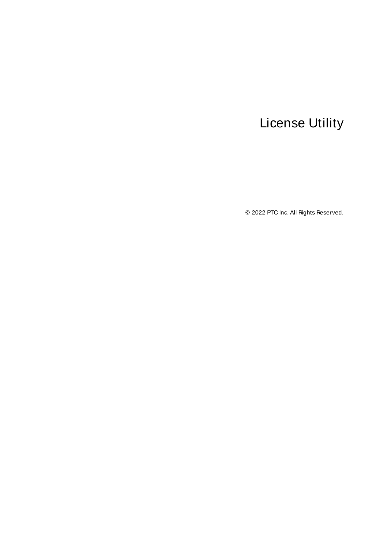# <span id="page-0-0"></span>License Utility

© 2022 PTC Inc. All Rights Reserved.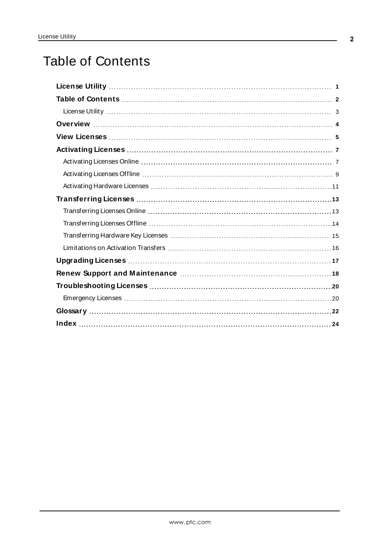# <span id="page-1-0"></span>Table of Contents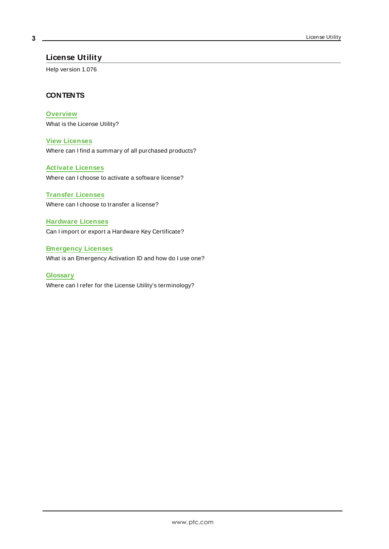#### <span id="page-2-0"></span>**License Utility**

Help version 1.076

#### <span id="page-2-1"></span>**CONTENTS**

**[Overview](#page-3-0)**

What is the License Utility?

#### **View [Licenses](#page-4-0)**

Where can I find a summary of all purchased products?

#### **Activate [Licenses](#page-6-0)**

Where can I choose to activate a software license?

# **Transfer [Licenses](#page-12-0)**

Where can I choose to transfer a license?

#### **[Hardware](#page-10-0) Licenses**

Can I import or export a Hardware Key Certificate?

### **[Emergency](#page-19-1) Licenses** What is an Emergency Activation ID and how do I use one?

**[Glossary](#page-21-0)** Where can I refer for the License Utility's terminology?

**3**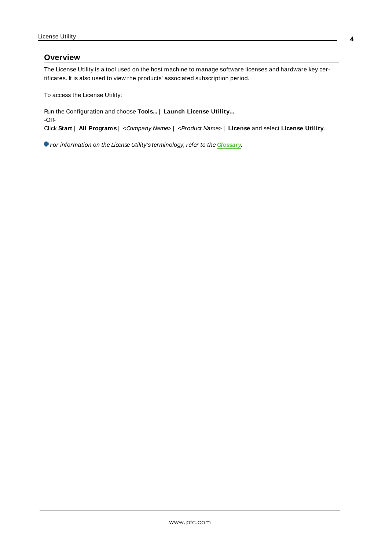#### <span id="page-3-0"></span>**Overview**

The License Utility is a tool used on the host machine to manage software licenses and hardware key certificates. It is also used to view the products' associated subscription period.

To access the License Utility:

Run the Configuration and choose **Tools...** | **Launch License Utility...**. -OR-Click **Start** | **All Programs** | <Company Name> | <Product Name> | **License** and select **License Utility**.

For information on the License Utility's terminology, refer to the **[Glossary](#page-21-0)**.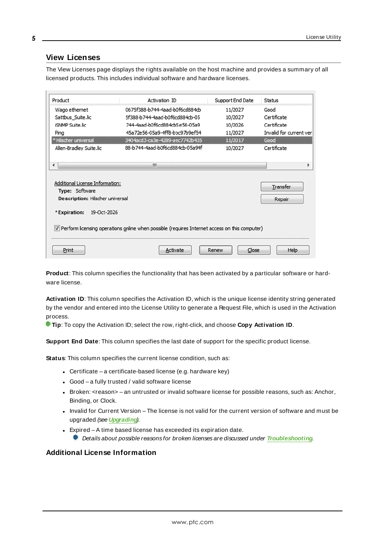#### <span id="page-4-9"></span><span id="page-4-0"></span>**View Licenses**

The View Licenses page displays the rights available on the host machine and provides a summary of all licensed products. This includes individual software and hardware licenses.

| Product                                           | Activation ID                                                                                            | Support End Date | Status                  |
|---------------------------------------------------|----------------------------------------------------------------------------------------------------------|------------------|-------------------------|
| Wago ethernet                                     | 0675f388-b744-4aad-b0f6cd884cb                                                                           | 11/2027          | Good                    |
| Sattbus_Suite.lic                                 | 5f388-b744-4aad-b0f6cd884cb-05                                                                           | 10/2027          | Certificate             |
| iSNMP Suite.lic                                   | 744-4aad-b0f6cd884cb5e56-05a9                                                                            | 10/2026          | Certificate             |
| Ping                                              | 45a72e56-05a9-4ff8-boc97b9ef54                                                                           | 11/2027          | Invalid for current ver |
| * Hilscher universal                              | 3404acd3-ca3e-4289-aec7742b435                                                                           | 11/2017          | Good                    |
| Allen-Bradley Suite.lic                           | 88-b744-4aad-b0f6cd884cb-05a94f                                                                          | 10/2027          | Certificate             |
| ◂                                                 | m.                                                                                                       |                  | Þ                       |
| Additional License Information:<br>Type: Software |                                                                                                          |                  | Transfer                |
| Description: Hilscher universal                   |                                                                                                          |                  | Repair                  |
| * Expiration:<br>19-Oct-2026                      |                                                                                                          |                  |                         |
|                                                   | $ \nabla $ Perform licensing operations online when possible (requires Internet access on this computer) |                  |                         |
|                                                   |                                                                                                          |                  |                         |

<span id="page-4-7"></span>**Product**: This column specifies the functionality that has been activated by a particular software or hardware license.

<span id="page-4-4"></span>**Activation ID**: This column specifies the Activation ID, which is the unique license identity string generated by the vendor and entered into the License Utility to generate a Request File, which is used in the Activation process.

<span id="page-4-10"></span>**Tip**: To copy the Activation ID; select the row, right-click, and choose **Copy Activation ID**.

<span id="page-4-8"></span>**Support End Date**: This column specifies the last date of support for the specific product license.

**Status**: This column specifies the current license condition, such as:

- <span id="page-4-5"></span><span id="page-4-2"></span>• Certificate – a certificate-based license (e.g. hardware key)
- <span id="page-4-1"></span> $\bullet$  Good – a fully trusted / valid software license
- Broken: <reason> an untrusted or invalid software license for possible reasons, such as: Anchor, Binding, or Clock.
- <span id="page-4-6"></span><span id="page-4-3"></span>• Invalid for Current Version – The license is not valid for the current version of software and must be upgraded (see **[Upgrading](#page-16-0)**).
- Expired A time based license has exceeded its expiration date.
	- Details about possible reasons for broken licenses are discussed under **[Troubleshooting](#page-19-0)**.

#### **Additional License Information**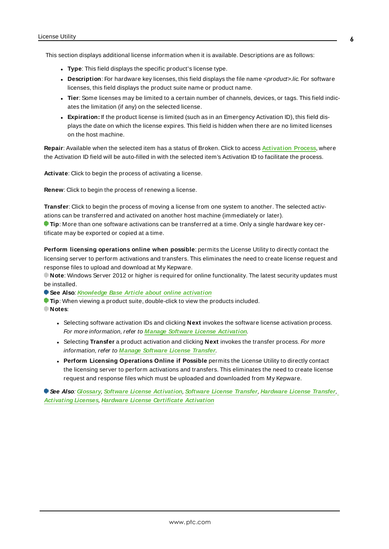This section displays additional license information when it is available. Descriptions are as follows:

- <span id="page-5-7"></span>**Type**: This field displays the specific product's license type.
- <span id="page-5-5"></span>**Description**: For hardware key licenses, this field displays the file name <product>.lic. For software licenses, this field displays the product suite name or product name.
- <sup>l</sup> **Tier**: Some licenses may be limited to a certain number of channels, devices, or tags. This field indicates the limitation (if any) on the selected license.
- <span id="page-5-1"></span>**Expiration:** If the product license is limited (such as in an Emergency Activation ID), this field displays the date on which the license expires. This field is hidden when there are no limited licenses on the host machine.

<span id="page-5-4"></span>**Repair**: Available when the selected item has a status of Broken. Click to access **[Activation](#page-6-0) Process**, where the Activation ID field will be auto-filled in with the selected item's Activation ID to facilitate the process.

<span id="page-5-3"></span><span id="page-5-0"></span>**Activate**: Click to begin the process of activating a license.

<span id="page-5-6"></span>**Renew**: Click to begin the process of renewing a license.

**Transfer**: Click to begin the process of moving a license from one system to another. The selected activations can be transferred and activated on another host machine (immediately or later).

**Tip**: More than one software activations can be transferred at a time. Only a single hardware key certificate may be exported or copied at a time.

<span id="page-5-2"></span>**Perform licensing operations online when possible**: permits the License Utility to directly contact the licensing server to perform activations and transfers. This eliminates the need to create license request and response files to upload and download at My Kepware.

**Note**: Windows Server 2012 or higher is required for online functionality. The latest security updates must be installed.

**See Also**: **[Knowledge](https://www.kepware.com/support/knowledge-base/default.asp?solution=/_ui/selfservice/pkb/PublicKnowledgeSolution/d?&id=50133000000fDhnCsY) Base Article about online activation**

**Tip**: When viewing a product suite, double-click to view the products included. **Notes**:

- <sup>l</sup> Selecting software activation IDs and clicking **Next** invokes the software license activation process. For more information, refer to **Manage Software License [Activation](#page-6-0)**.
- **.** Selecting **Transfer** a product activation and clicking **Next** invokes the transfer process. For more information, refer to **Manage [Software](#page-12-0) License Transfer**.
- <sup>l</sup> **Perform Licensing Operations Online if Possible** permits the License Utility to directly contact the licensing server to perform activations and transfers. This eliminates the need to create license request and response files which must be uploaded and downloaded from My Kepware.

**See Also**: **[Glossary](#page-21-0)**, **Software License [Activation](#page-6-0)**, **[Software](#page-12-0) License Transfer**, **[Hardware](#page-14-0) License Transfer**, **[Activating](#page-6-0) Licenses**, **Hardware License [Certificate](#page-10-0) Activation**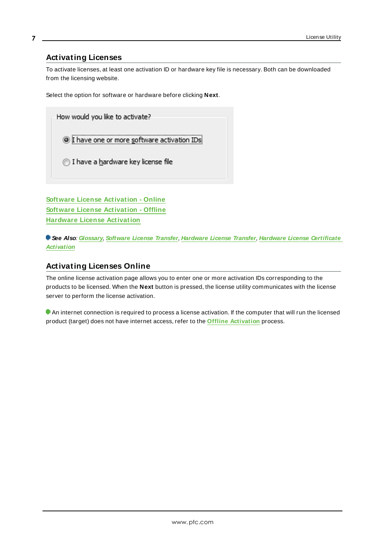#### <span id="page-6-0"></span>**Activating Licenses**

**7**

To activate licenses, at least one activation ID or hardware key file is necessary. Both can be downloaded from the licensing website.

Select the option for software or hardware before clicking **Next**.

How would you like to activate? **O** I have one or more software activation IDs 1 I have a hardware key license file

**Software License [Activation](#page-6-1) - Online Software License [Activation](#page-8-0) - Offline Hardware License [Activation](#page-10-0)**

**See Also**: **[Glossary](#page-21-0)**, **[Software](#page-12-0) License Transfer**, **[Hardware](#page-14-0) License Transfer**, **Hardware License [Certificate](#page-10-0) [Activation](#page-10-0)**

#### <span id="page-6-1"></span>**Activating Licenses Online**

The online license activation page allows you to enter one or more activation IDs corresponding to the products to be licensed. When the **Next** button is pressed, the license utility communicates with the license server to perform the license activation.

 An internet connection is required to process a license activation. If the computer that will run the licensed product (target) does not have internet access, refer to the **Offline [Activation](#page-8-0)** process.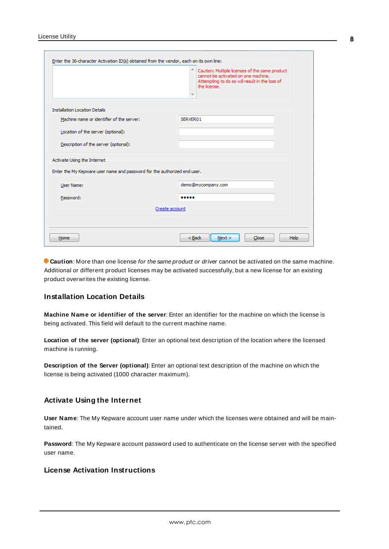|                                                                                                         | ×.<br>Caution: Multiple licenses of the same product<br>cannot be activated on one machine.<br>Attempting to do so will result in the loss of<br>the license.<br>$\overline{\phantom{a}}$ |
|---------------------------------------------------------------------------------------------------------|-------------------------------------------------------------------------------------------------------------------------------------------------------------------------------------------|
| <b>Installation Location Details</b>                                                                    |                                                                                                                                                                                           |
| Machine name or identifier of the server:                                                               | SERVER01                                                                                                                                                                                  |
| Location of the server (optional):                                                                      |                                                                                                                                                                                           |
| Description of the server (optional):                                                                   |                                                                                                                                                                                           |
| Activate Using the Internet<br>Enter the My Kepware user name and password for the authorized end user. |                                                                                                                                                                                           |
| User Name:                                                                                              | demo@mycompany.com                                                                                                                                                                        |
|                                                                                                         |                                                                                                                                                                                           |
| Password:                                                                                               |                                                                                                                                                                                           |
|                                                                                                         | Create account                                                                                                                                                                            |
|                                                                                                         |                                                                                                                                                                                           |

**Caution**: More than one license for the same product or driver cannot be activated on the same machine. Additional or different product licenses may be activated successfully, but a new license for an existing product overwrites the existing license.

#### <span id="page-7-0"></span>**Installation Location Details**

**Machine Name or identifier of the server**: Enter an identifier for the machine on which the license is being activated. This field will default to the current machine name.

**Location of the server (optional)**: Enter an optional text description of the location where the licensed machine is running.

**Description of the Server (optional)**: Enter an optional text description of the machine on which the license is being activated (1000 character maximum).

#### <span id="page-7-3"></span><span id="page-7-1"></span>**Activate Using the Internet**

**User Name**: The My Kepware account user name under which the licenses were obtained and will be maintained.

<span id="page-7-2"></span>**Password**: The My Kepware account password used to authenticate on the license server with the specified user name.

#### **License Activation Instructions**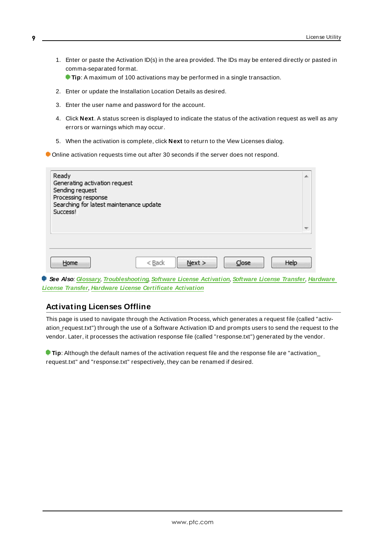1. Enter or paste the Activation ID(s) in the area provided. The IDs may be entered directly or pasted in comma-separated format.

**Tip:** A maximum of 100 activations may be performed in a single transaction.

- 2. Enter or update the Installation Location Details as desired.
- 3. Enter the user name and password for the account.
- 4. Click **Next**. A status screen is displayed to indicate the status of the activation request as well as any errors or warnings which may occur.
- 5. When the activation is complete, click **Next** to return to the View Licenses dialog.

Online activation requests time out after 30 seconds if the server does not respond.

| Ready<br>Generating activation request<br>Sending request<br>Processing response<br>Searching for latest maintenance update<br>Success! |          |        |       |      | ▲ |
|-----------------------------------------------------------------------------------------------------------------------------------------|----------|--------|-------|------|---|
| Home                                                                                                                                    | $<$ Back | Next > | Close | Help | ۳ |

**See Also**: **[Glossary](#page-21-0)**, **[Troubleshooting](#page-19-0)**, **Software License [Activation](#page-6-0)**, **[Software](#page-12-0) License Transfer**, **[Hardware](#page-14-0) License [Transfer](#page-14-0)**, **Hardware License [Certificate](#page-10-0) Activation**

#### <span id="page-8-0"></span>**Activating Licenses Offline**

This page is used to navigate through the Activation Process, which generates a request file (called "activation\_request.txt") through the use of a Software Activation ID and prompts users to send the request to the vendor. Later, it processes the activation response file (called "response.txt") generated by the vendor.

<span id="page-8-1"></span>**Tip**: Although the default names of the activation request file and the response file are "activation\_ request.txt" and "response.txt" respectively, they can be renamed if desired.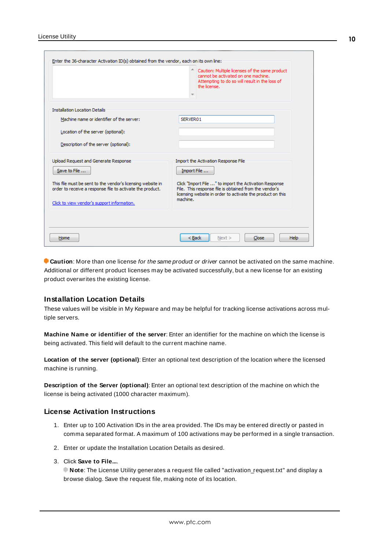|                                                                                                                                                                                                                                 | Caution: Multiple licenses of the same product<br>cannot be activated on one machine.<br>Attempting to do so will result in the loss of<br>the license.                                                                                          |
|---------------------------------------------------------------------------------------------------------------------------------------------------------------------------------------------------------------------------------|--------------------------------------------------------------------------------------------------------------------------------------------------------------------------------------------------------------------------------------------------|
| <b>Installation Location Details</b>                                                                                                                                                                                            |                                                                                                                                                                                                                                                  |
| Machine name or identifier of the server:                                                                                                                                                                                       | SERVER01                                                                                                                                                                                                                                         |
| Location of the server (optional):                                                                                                                                                                                              |                                                                                                                                                                                                                                                  |
| Description of the server (optional):                                                                                                                                                                                           |                                                                                                                                                                                                                                                  |
| Upload Request and Generate Response<br>Save to File<br>This file must be sent to the vendor's licensing website in<br>order to receive a response file to activate the product.<br>Click to view vendor's support information. | Import the Activation Response File<br>Import File<br>Click "Import File " to import the Activation Response<br>File. This response file is obtained from the vendor's<br>licensing website in order to activate the product on this<br>machine. |
| Home                                                                                                                                                                                                                            | < Back<br>Next ><br>Close                                                                                                                                                                                                                        |

**Caution**: More than one license for the same product or driver cannot be activated on the same machine. Additional or different product licenses may be activated successfully, but a new license for an existing product overwrites the existing license.

#### <span id="page-9-0"></span>**Installation Location Details**

These values will be visible in My Kepware and may be helpful for tracking license activations across multiple servers.

**Machine Name or identifier of the server**: Enter an identifier for the machine on which the license is being activated. This field will default to the current machine name.

**Location of the server (optional)**: Enter an optional text description of the location where the licensed machine is running.

**Description of the Server (optional)**: Enter an optional text description of the machine on which the license is being activated (1000 character maximum).

#### **License Activation Instructions**

- 1. Enter up to 100 Activation IDs in the area provided. The IDs may be entered directly or pasted in comma separated format. A maximum of 100 activations may be performed in a single transaction.
- 2. Enter or update the Installation Location Details as desired.
- 3. Click **Save to File...**.

**Note:** The License Utility generates a request file called "activation request.txt" and display a browse dialog. Save the request file, making note of its location.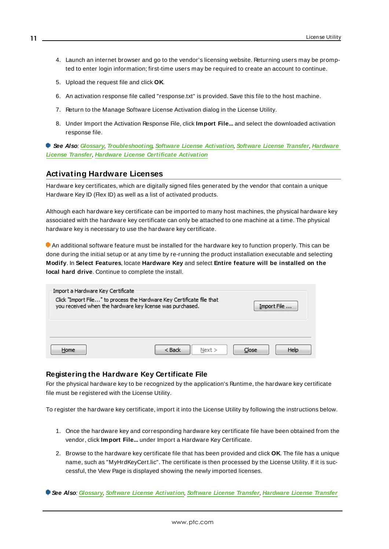- 4. Launch an internet browser and go to the vendor's licensing website. Returning users may be prompted to enter login information; first-time users may be required to create an account to continue.
- 5. Upload the request file and click **OK**.
- 6. An activation response file called "response.txt" is provided. Save this file to the host machine.
- 7. Return to the Manage Software License Activation dialog in the License Utility.
- 8. Under Import the Activation Response File, click **Import File...** and select the downloaded activation response file.

**See Also**: **[Glossary](#page-21-0)**, **[Troubleshooting](#page-19-0)**, **Software License [Activation](#page-6-0)**, **[Software](#page-12-0) License Transfer**, **[Hardware](#page-14-0) License [Transfer](#page-14-0)**, **Hardware License [Certificate](#page-10-0) Activation**

#### <span id="page-10-0"></span>**Activating Hardware Licenses**

Hardware key certificates, which are digitally signed files generated by the vendor that contain a unique Hardware Key ID (Flex ID) as well as a list of activated products.

Although each hardware key certificate can be imported to many host machines, the physical hardware key associated with the hardware key certificate can only be attached to one machine at a time. The physical hardware key is necessary to use the hardware key certificate.

An additional software feature must be installed for the hardware key to function properly. This can be done during the initial setup or at any time by re-running the product installation executable and selecting **Modify**. In **Select Features**, locate **Hardware Key** and select **Entire feature will be installed on the local hard drive**. Continue to complete the install.

| Import a Hardware Key Certificate<br>Click "Import File" to process the Hardware Key Certificate file that<br>you received when the hardware key license was purchased. |                    | Import File   |
|-------------------------------------------------------------------------------------------------------------------------------------------------------------------------|--------------------|---------------|
| Home                                                                                                                                                                    | $<$ Back<br>Next > | Help<br>Close |

#### <span id="page-10-1"></span>**Registering the Hardware Key Certificate File**

For the physical hardware key to be recognized by the application's Runtime, the hardware key certificate file must be registered with the License Utility.

To register the hardware key certificate, import it into the License Utility by following the instructions below.

- <span id="page-10-2"></span>1. Once the hardware key and corresponding hardware key certificate file have been obtained from the vendor, click **Import File...** under Import a Hardware Key Certificate.
- 2. Browse to the hardware key certificate file that has been provided and click **OK**. The file has a unique name, such as "MyHrdKeyCert.lic". The certificate is then processed by the License Utility. If it is successful, the View Page is displayed showing the newly imported licenses.

**See Also**: **[Glossary](#page-21-0)**, **Software License [Activation](#page-6-0)**, **[Software](#page-12-0) License Transfer**, **[Hardware](#page-14-0) License Transfer**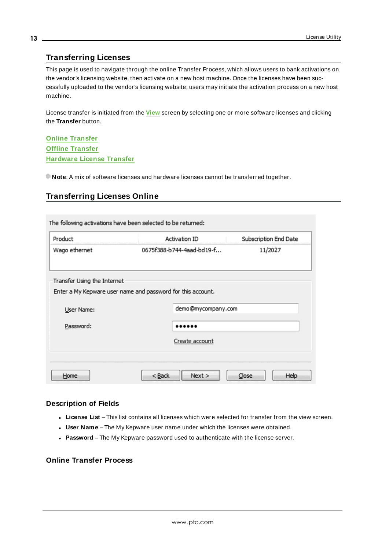#### <span id="page-12-0"></span>**Transferring Licenses**

This page is used to navigate through the online Transfer Process, which allows users to bank activations on the vendor's licensing website, then activate on a new host machine. Once the licenses have been successfully uploaded to the vendor's licensing website, users may initiate the activation process on a new host machine.

License transfer is initiated from the **[View](#page-4-0)** screen by selecting one or more software licenses and clicking the **Transfer** button.

**Online [Transfer](#page-12-1) Offline [Transfer](#page-13-0) [Hardware](#page-14-0) License Transfer**

<span id="page-12-1"></span>**Note**: A mix of software licenses and hardware licenses cannot be transferred together.

#### **Transferring Licenses Online**

| Product                                                     | Activation ID |                           | Subscription End Date |
|-------------------------------------------------------------|---------------|---------------------------|-----------------------|
| Wago ethernet                                               |               | 0675f388-b744-4aad-bd19-f | 11/2027               |
| Transfer Using the Internet                                 |               |                           |                       |
| Enter a My Kepware user name and password for this account. |               |                           |                       |
| User Name:                                                  |               | demo@mycompany.com        |                       |
| Password:                                                   |               |                           |                       |
|                                                             |               | Create account            |                       |
|                                                             |               |                           |                       |
|                                                             |               |                           |                       |

#### **Description of Fields**

- <span id="page-12-5"></span><span id="page-12-2"></span>**License List** – This list contains all licenses which were selected for transfer from the view screen.
- <span id="page-12-4"></span>**.** User Name – The My Kepware user name under which the licenses were obtained.
- **Password** The My Kepware password used to authenticate with the license server.

#### <span id="page-12-3"></span>**Online Transfer Process**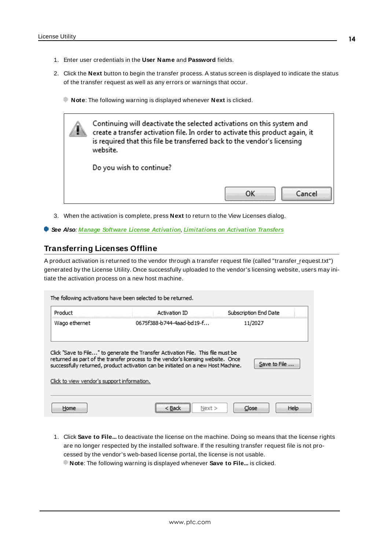- 1. Enter user credentials in the **User Name** and **Password** fields.
- 2. Click the **Next** button to begin the transfer process. A status screen is displayed to indicate the status of the transfer request as well as any errors or warnings that occur.
	- **Note**: The following warning is displayed whenever **Next** is clicked.



- 3. When the activation is complete, press **Next** to return to the View Licenses dialog.
- <span id="page-13-0"></span>**See Also**: **Manage Software License [Activation](#page-6-0)**, **[Limitations](#page-15-0) on Activation Transfers**

#### **Transferring Licenses Offline**

A product activation is returned to the vendor through a transfer request file (called "transfer\_request.txt") generated by the License Utility. Once successfully uploaded to the vendor's licensing website, users may initiate the activation process on a new host machine.

| Product                                     | Activation ID                                                                                                                                                                                                                                             | Subscription End Date |
|---------------------------------------------|-----------------------------------------------------------------------------------------------------------------------------------------------------------------------------------------------------------------------------------------------------------|-----------------------|
| Wago ethernet                               | 0675f388-b744-4aad-bd19-f                                                                                                                                                                                                                                 | 11/2027               |
|                                             |                                                                                                                                                                                                                                                           |                       |
| Click to view vendor's support information. | Click "Save to File" to generate the Transfer Activation File. This file must be<br>returned as part of the transfer process to the vendor's licensing website. Once<br>successfully returned, product activation can be initiated on a new Host Machine. | Save to File          |

- 1. Click **Save to File...** to deactivate the license on the machine. Doing so means that the license rights are no longer respected by the installed software. If the resulting transfer request file is not processed by the vendor's web-based license portal, the license is not usable.
	- **Note**: The following warning is displayed whenever **Save to File...** is clicked.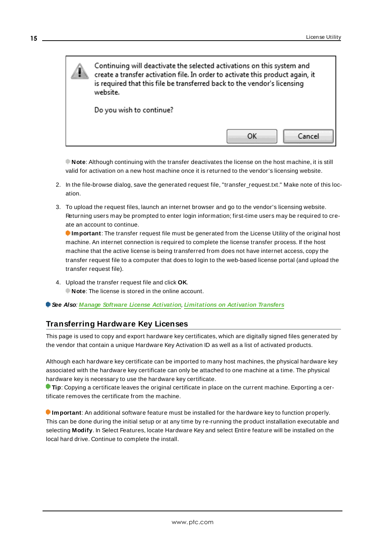

<span id="page-14-1"></span>**Note**: Although continuing with the transfer deactivates the license on the host machine, it is still valid for activation on a new host machine once it is returned to the vendor's licensing website.

- 2. In the file-browse dialog, save the generated request file, "transfer request.txt." Make note of this location.
- 3. To upload the request files, launch an internet browser and go to the vendor's licensing website. Returning users may be prompted to enter login information; first-time users may be required to create an account to continue.

**Important**: The transfer request file must be generated from the License Utility of the original host machine. An internet connection is required to complete the license transfer process. If the host machine that the active license is being transferred from does not have internet access, copy the transfer request file to a computer that does to login to the web-based license portal (and upload the transfer request file).

- 4. Upload the transfer request file and click **OK**. **Note**: The license is stored in the online account.
- <span id="page-14-0"></span>**See Also**: **Manage Software License [Activation](#page-6-0)**, **[Limitations](#page-15-0) on Activation Transfers**

### **Transferring Hardware Key Licenses**

This page is used to copy and export hardware key certificates, which are digitally signed files generated by the vendor that contain a unique Hardware Key Activation ID as well as a list of activated products.

Although each hardware key certificate can be imported to many host machines, the physical hardware key associated with the hardware key certificate can only be attached to one machine at a time. The physical hardware key is necessary to use the hardware key certificate.

**Tip**: Copying a certificate leaves the original certificate in place on the current machine. Exporting a certificate removes the certificate from the machine.

**Important**: An additional software feature must be installed for the hardware key to function properly. This can be done during the initial setup or at any time by re-running the product installation executable and selecting **Modify**. In Select Features, locate Hardware Key and select Entire feature will be installed on the local hard drive. Continue to complete the install.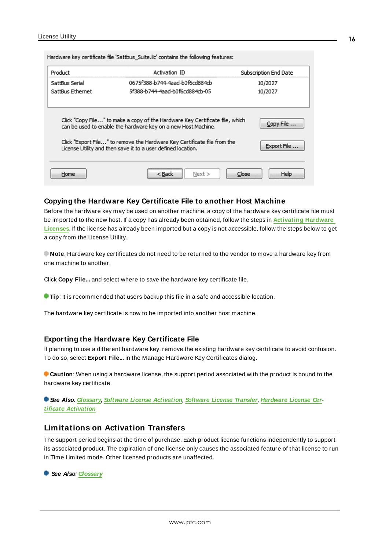Hardware key certificate file 'Sattbus\_Suite.lic' contains the following features:

| Product          | Activation ID                                                                                                                                 | Subscription End Date |
|------------------|-----------------------------------------------------------------------------------------------------------------------------------------------|-----------------------|
| SattBus Serial   | 0675f388-b744-4aad-b0f6cd884cb                                                                                                                | 10/2027               |
| SattBus Ethernet | 5f388-b744-4aad-b0f6cd884cb-05                                                                                                                | 10/2027               |
|                  | Click "Copy File" to make a copy of the Hardware Key Certificate file, which<br>can be used to enable the hardware key on a new Host Machine. | Copy File             |
|                  | Click "Export File" to remove the Hardware Key Certificate file from the<br>License Utility and then save it to a user defined location.      | Export File           |
|                  |                                                                                                                                               |                       |

#### <span id="page-15-2"></span>**Copying the Hardware Key Certificate File to another Host Machine**

Before the hardware key may be used on another machine, a copy of the hardware key certificate file must be imported to the new host. If a copy has already been obtained, follow the steps in **[Activating](#page-10-0) Hardware [Licenses](#page-10-0)**. If the license has already been imported but a copy is not accessible, follow the steps below to get a copy from the License Utility.

**Note**: Hardware key certificates do not need to be returned to the vendor to move a hardware key from one machine to another.

Click **Copy File...** and select where to save the hardware key certificate file.

**Tip**: It is recommended that users backup this file in a safe and accessible location.

The hardware key certificate is now to be imported into another host machine.

#### <span id="page-15-1"></span>**Exporting the Hardware Key Certificate File**

If planning to use a different hardware key, remove the existing hardware key certificate to avoid confusion. To do so, select **Export File...** in the Manage Hardware Key Certificates dialog.

**Caution**: When using a hardware license, the support period associated with the product is bound to the hardware key certificate.

**See Also**: **[Glossary](#page-21-0)**, **Software License [Activation](#page-6-0)**, **[Software](#page-12-0) License Transfer**, **[Hardware](#page-10-0) License Certificate [Activation](#page-10-0)**

#### <span id="page-15-3"></span><span id="page-15-0"></span>**Limitations on Activation Transfers**

The support period begins at the time of purchase. Each product license functions independently to support its associated product. The expiration of one license only causes the associated feature of that license to run in Time Limited mode. Other licensed products are unaffected.

**See Also**: **[Glossary](#page-21-0)**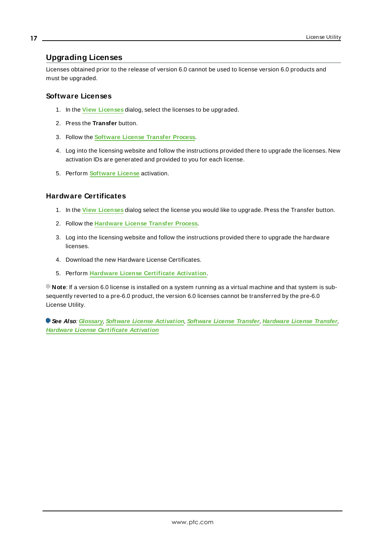#### <span id="page-16-3"></span><span id="page-16-0"></span>**Upgrading Licenses**

Licenses obtained prior to the release of version 6.0 cannot be used to license version 6.0 products and must be upgraded.

#### <span id="page-16-2"></span>**Software Licenses**

- 1. In the **View [Licenses](#page-4-0)** dialog, select the licenses to be upgraded.
- 2. Press the **Transfer** button.
- 3. Follow the **[Software](#page-12-0) License Transfer Process**.
- 4. Log into the licensing website and follow the instructions provided there to upgrade the licenses. New activation IDs are generated and provided to you for each license.
- 5. Perform **[Software](#page-6-0) License** activation.

#### <span id="page-16-1"></span>**Hardware Certificates**

- 1. In the **View [Licenses](#page-4-0)** dialog select the license you would like to upgrade. Press the Transfer button.
- 2. Follow the **[Hardware](#page-14-0) License Transfer Process**.
- 3. Log into the licensing website and follow the instructions provided there to upgrade the hardware licenses.
- 4. Download the new Hardware License Certificates.
- 5. Perform **Hardware License [Certificate](#page-10-0) Activation**.

**Note**: If a version 6.0 license is installed on a system running as a virtual machine and that system is subsequently reverted to a pre-6.0 product, the version 6.0 licenses cannot be transferred by the pre-6.0 License Utility.

**See Also**: **[Glossary](#page-21-0)**, **Software License [Activation](#page-6-0)**, **[Software](#page-12-0) License Transfer**, **[Hardware](#page-14-0) License Transfer**, **Hardware License [Certificate](#page-10-0) Activation**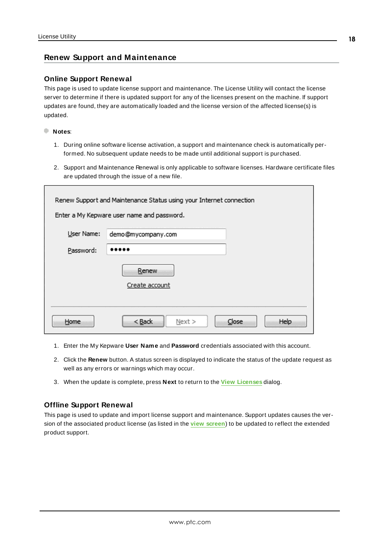#### <span id="page-17-0"></span>**Renew Support and Maintenance**

#### **Online Support Renewal**

This page is used to update license support and maintenance. The License Utility will contact the license server to determine if there is updated support for any of the licenses present on the machine. If support updates are found, they are automatically loaded and the license version of the affected license(s) is updated.

**Notes**:

- 1. During online software license activation, a support and maintenance check is automatically performed. No subsequent update needs to be made until additional support is purchased.
- 2. Support and Maintenance Renewal is only applicable to software licenses. Hardware certificate files are updated through the issue of a new file.

|            | Renew Support and Maintenance Status using your Internet connection<br>Enter a My Kepware user name and password. |  |
|------------|-------------------------------------------------------------------------------------------------------------------|--|
| User Name: | demo@mycompany.com                                                                                                |  |
| Password:  |                                                                                                                   |  |
|            | Renew                                                                                                             |  |
|            | Create account                                                                                                    |  |
|            |                                                                                                                   |  |
| Home       | $<$ Back<br>Help<br>Close<br>Next                                                                                 |  |

- 1. Enter the My Kepware **User Name** and **Password** credentials associated with this account.
- 2. Click the **Renew** button. A status screen is displayed to indicate the status of the update request as well as any errors or warnings which may occur.
- 3. When the update is complete, press **Next** to return to the **View [Licenses](#page-4-0)** dialog.

#### **Offline Support Renewal**

This page is used to update and import license support and maintenance. Support updates causes the version of the associated product license (as listed in the **view [screen](#page-4-0)**) to be updated to reflect the extended product support.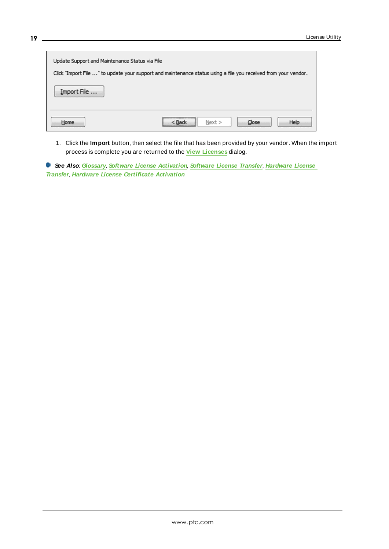| Update Support and Maintenance Status via File | Click "Import File " to update your support and maintenance status using a file you received from your vendor. |
|------------------------------------------------|----------------------------------------------------------------------------------------------------------------|
| Import File                                    |                                                                                                                |
| Home                                           | ,,,,,,,,,,,,,,,,,,,,,,,,,,,,,,,,,,,<br>Next<br>Help<br>$<$ Back<br>Close                                       |

1. Click the **Import** button, then select the file that has been provided by your vendor. When the import process is complete you are returned to the **View [Licenses](#page-4-0)** dialog.

**See Also**: **[Glossary](#page-21-0)**, **Software License [Activation](#page-6-0)**, **[Software](#page-12-0) License Transfer**, **[Hardware](#page-14-0) License [Transfer](#page-14-0)**, **Hardware License [Certificate](#page-10-0) Activation**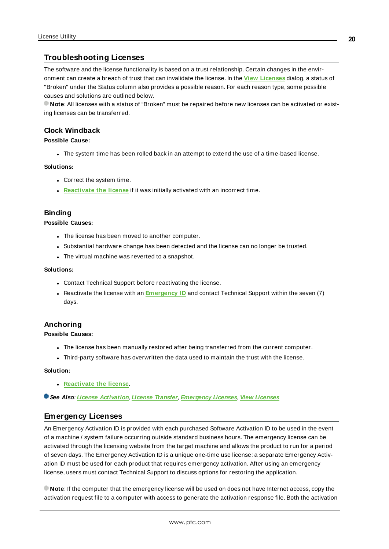#### <span id="page-19-0"></span>**Troubleshooting Licenses**

The software and the license functionality is based on a trust relationship. Certain changes in the environment can create a breach of trust that can invalidate the license. In the **View [Licenses](#page-4-0)** dialog, a status of "Broken" under the Status column also provides a possible reason. For each reason type, some possible causes and solutions are outlined below.

**Note**: All licenses with a status of "Broken" must be repaired before new licenses can be activated or existing licenses can be transferred.

#### <span id="page-19-4"></span>**Clock Windback**

#### **Possible Cause:**

The system time has been rolled back in an attempt to extend the use of a time-based license.

#### **Solutions:**

- Correct the system time.
- **[Reactivate](#page-6-0) the license** if it was initially activated with an incorrect time.

#### <span id="page-19-3"></span>**Binding**

#### **Possible Causes:**

- <span id="page-19-8"></span>- The license has been moved to another computer.
- <span id="page-19-6"></span>• Substantial hardware change has been detected and the license can no longer be trusted.
- The virtual machine was reverted to a snapshot.

#### **Solutions:**

- <span id="page-19-7"></span>• Contact Technical Support before reactivating the license.
- **Reactivate the license with an** *[Emergency](#page-19-1) ID* and contact Technical Support within the seven (7) days.

#### <span id="page-19-2"></span>**Anchoring**

#### **Possible Causes:**

- The license has been manually restored after being transferred from the current computer.
- <sup>l</sup> Third-party software has overwritten the data used to maintain the trust with the license.

#### **Solution:**

- <sup>l</sup> **[Reactivate](#page-6-0) the license**.
- <span id="page-19-1"></span>**See Also**: **License [Activation](#page-6-0)**, **License [Transfer](#page-12-0)**, **[Emergency](#page-19-1) Licenses**, **View [Licenses](#page-4-0)**

#### <span id="page-19-5"></span>**Emergency Licenses**

An Emergency Activation ID is provided with each purchased Software Activation ID to be used in the event of a machine / system failure occurring outside standard business hours. The emergency license can be activated through the licensing website from the target machine and allows the product to run for a period of seven days. The Emergency Activation ID is a unique one-time use license: a separate Emergency Activation ID must be used for each product that requires emergency activation. After using an emergency license, users must contact Technical Support to discuss options for restoring the application.

**Note**: If the computer that the emergency license will be used on does not have Internet access, copy the activation request file to a computer with access to generate the activation response file. Both the activation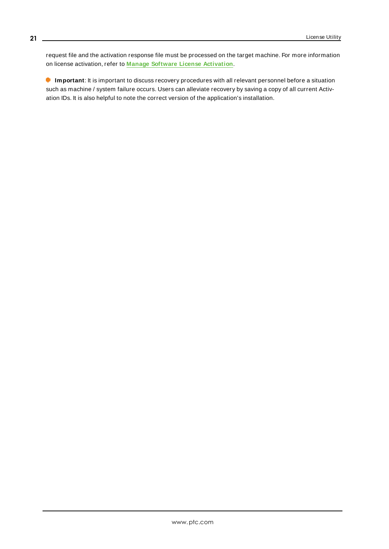request file and the activation response file must be processed on the target machine. For more information on license activation, refer to **Manage Software License [Activation](#page-6-0)**.

<span id="page-20-0"></span>**Important**: It is important to discuss recovery procedures with all relevant personnel before a situation such as machine / system failure occurs. Users can alleviate recovery by saving a copy of all current Activation IDs. It is also helpful to note the correct version of the application's installation.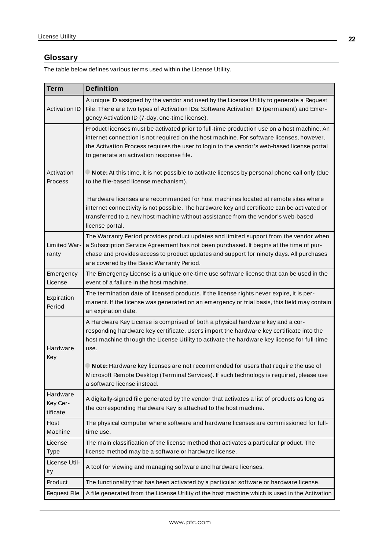### <span id="page-21-0"></span>**Glossary**

The table below defines various terms used within the License Utility.

<span id="page-21-8"></span><span id="page-21-7"></span><span id="page-21-6"></span><span id="page-21-5"></span><span id="page-21-4"></span><span id="page-21-3"></span><span id="page-21-2"></span><span id="page-21-1"></span>

| <b>Term</b>                      | <b>Definition</b>                                                                                                                                                                                                                                                                                                                |
|----------------------------------|----------------------------------------------------------------------------------------------------------------------------------------------------------------------------------------------------------------------------------------------------------------------------------------------------------------------------------|
| <b>Activation ID</b>             | A unique ID assigned by the vendor and used by the License Utility to generate a Request<br>File. There are two types of Activation IDs: Software Activation ID (permanent) and Emer-<br>gency Activation ID (7-day, one-time license).                                                                                          |
|                                  | Product licenses must be activated prior to full-time production use on a host machine. An<br>internet connection is not required on the host machine. For software licenses, however,<br>the Activation Process requires the user to login to the vendor's web-based license portal<br>to generate an activation response file. |
| Activation<br>Process            | $\blacksquare$ <b>Note:</b> At this time, it is not possible to activate licenses by personal phone call only (due<br>to the file-based license mechanism).                                                                                                                                                                      |
|                                  | Hardware licenses are recommended for host machines located at remote sites where<br>internet connectivity is not possible. The hardware key and certificate can be activated or<br>transferred to a new host machine without assistance from the vendor's web-based<br>license portal.                                          |
| Limited War-<br>ranty            | The Warranty Period provides product updates and limited support from the vendor when<br>a Subscription Service Agreement has not been purchased. It begins at the time of pur-<br>chase and provides access to product updates and support for ninety days. All purchases<br>are covered by the Basic Warranty Period.          |
| Emergency<br>License             | The Emergency License is a unique one-time use software license that can be used in the<br>event of a failure in the host machine.                                                                                                                                                                                               |
| Expiration<br>Period             | The termination date of licensed products. If the license rights never expire, it is per-<br>manent. If the license was generated on an emergency or trial basis, this field may contain<br>an expiration date.                                                                                                                  |
| Hardware<br>Key                  | A Hardware Key License is comprised of both a physical hardware key and a cor-<br>responding hardware key certificate. Users import the hardware key certificate into the<br>host machine through the License Utility to activate the hardware key license for full-time<br>use.                                                 |
|                                  | Note: Hardware key licenses are not recommended for users that require the use of<br>Microsoft Remote Desktop (Terminal Services). If such technology is required, please use<br>a software license instead.                                                                                                                     |
| Hardware<br>Key Cer-<br>tificate | A digitally-signed file generated by the vendor that activates a list of products as long as<br>the corresponding Hardware Key is attached to the host machine.                                                                                                                                                                  |
| Host<br>Machine                  | The physical computer where software and hardware licenses are commissioned for full-<br>time use.                                                                                                                                                                                                                               |
| License<br><b>Type</b>           | The main classification of the license method that activates a particular product. The<br>license method may be a software or hardware license.                                                                                                                                                                                  |
| License Util-<br>ity             | A tool for viewing and managing software and hardware licenses.                                                                                                                                                                                                                                                                  |
| Product                          | The functionality that has been activated by a particular software or hardware license.                                                                                                                                                                                                                                          |
| <b>Request File</b>              | A file generated from the License Utility of the host machine which is used in the Activation                                                                                                                                                                                                                                    |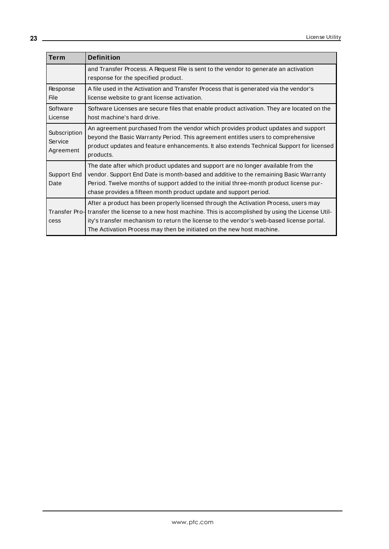<span id="page-22-3"></span><span id="page-22-2"></span><span id="page-22-1"></span><span id="page-22-0"></span>

| <b>Term</b>                          | <b>Definition</b>                                                                                                                                                                                                                                                                                                                                        |
|--------------------------------------|----------------------------------------------------------------------------------------------------------------------------------------------------------------------------------------------------------------------------------------------------------------------------------------------------------------------------------------------------------|
|                                      | and Transfer Process. A Request File is sent to the vendor to generate an activation<br>response for the specified product.                                                                                                                                                                                                                              |
| Response<br>File                     | A file used in the Activation and Transfer Process that is generated via the vendor's<br>license website to grant license activation.                                                                                                                                                                                                                    |
| Software<br>License                  | Software Licenses are secure files that enable product activation. They are located on the<br>host machine's hard drive.                                                                                                                                                                                                                                 |
| Subscription<br>Service<br>Agreement | An agreement purchased from the vendor which provides product updates and support<br>beyond the Basic Warranty Period. This agreement entitles users to comprehensive<br>product updates and feature enhancements. It also extends Technical Support for licensed<br>products.                                                                           |
| Support End<br>Date                  | The date after which product updates and support are no longer available from the<br>vendor. Support End Date is month-based and additive to the remaining Basic Warranty<br>Period. Twelve months of support added to the initial three-month product license pur-<br>chase provides a fifteen month product update and support period.                 |
| Transfer Pro-<br>cess                | After a product has been properly licensed through the Activation Process, users may<br>transfer the license to a new host machine. This is accomplished by using the License Util-<br>ity's transfer mechanism to return the license to the vendor's web-based license portal.<br>The Activation Process may then be initiated on the new host machine. |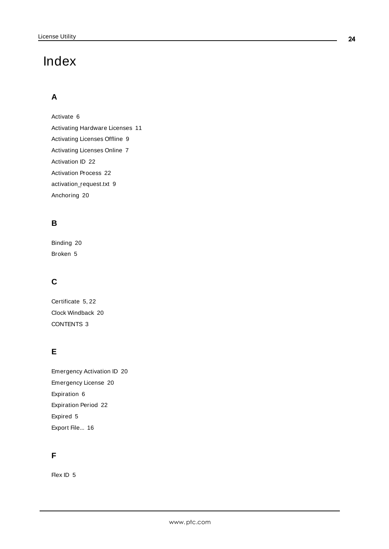# <span id="page-23-0"></span>Index

# **A**

Activate [6](#page-5-0) Activating Hardware Licenses [11](#page-10-0) Activating Licenses Offline [9](#page-8-0) Activating Licenses Online [7](#page-6-1) Activation ID [22](#page-21-1) Activation Process [22](#page-21-2) activation\_request.txt [9](#page-8-1) Anchoring [20](#page-19-2)

# **B**

Binding [20](#page-19-3) Broken [5](#page-4-1)

# **C**

Certificate [5](#page-4-2), [22](#page-21-3) Clock Windback [20](#page-19-4) CONTENTS [3](#page-2-1)

# **E**

Emergency Activation ID [20](#page-19-5) Emergency License [20](#page-19-1) Expiration [6](#page-5-1) Expiration Period [22](#page-21-4) Expired [5](#page-4-3) Export File... [16](#page-15-1)

# **F**

Flex ID [5](#page-4-4)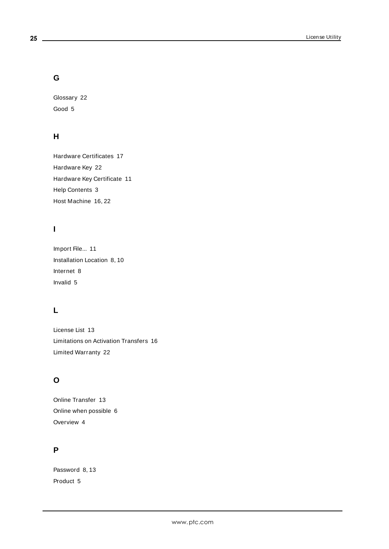### **G**

Glossary [22](#page-21-0) Good [5](#page-4-5)

# **H**

Hardware Certificates [17](#page-16-1) Hardware Key [22](#page-21-5) Hardware Key Certificate [11](#page-10-1) Help Contents [3](#page-2-0) Host Machine [16](#page-15-2), [22](#page-21-6)

# **I**

Import File... [11](#page-10-2) Installation Location [8,](#page-7-0) [10](#page-9-0) Internet [8](#page-7-1) Invalid [5](#page-4-6)

# **L**

License List [13](#page-12-2) Limitations on Activation Transfers [16](#page-15-0) Limited Warranty [22](#page-21-7)

# **O**

Online Transfer [13](#page-12-3) Online when possible [6](#page-5-2) Overview [4](#page-3-0)

# **P**

Password [8](#page-7-2), [13](#page-12-4) Product [5](#page-4-7)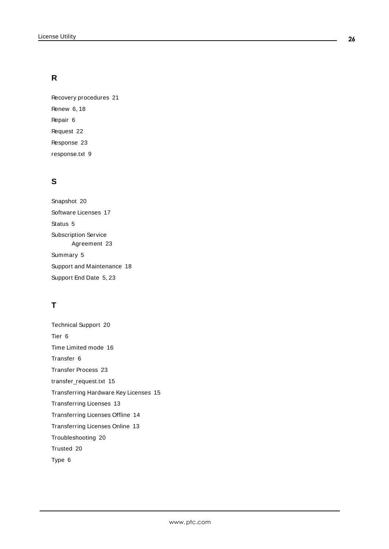# **R**

Recovery procedures [21](#page-20-0) Renew [6](#page-5-3), [18](#page-17-0) Repair [6](#page-5-4) Request [22](#page-21-8) Response [23](#page-22-0) response.txt [9](#page-8-1)

# **S**

Snapshot [20](#page-19-6) Software Licenses [17](#page-16-2) Status [5](#page-4-8) Subscription Service Agreement [23](#page-22-1) Summary [5](#page-4-9) Support and Maintenance [18](#page-17-0) Support End Date [5](#page-4-10), [23](#page-22-2)

# **T**

Technical Support [20](#page-19-7) Tier [6](#page-5-5) Time Limited mode [16](#page-15-3) Transfer [6](#page-5-6) Transfer Process [23](#page-22-3) transfer\_request.txt [15](#page-14-1) Transferring Hardware Key Licenses [15](#page-14-0) Transferring Licenses [13](#page-12-0) Transferring Licenses Offline [14](#page-13-0) Transferring Licenses Online [13](#page-12-1) Troubleshooting [20](#page-19-0) Trusted [20](#page-19-8) Type [6](#page-5-7)